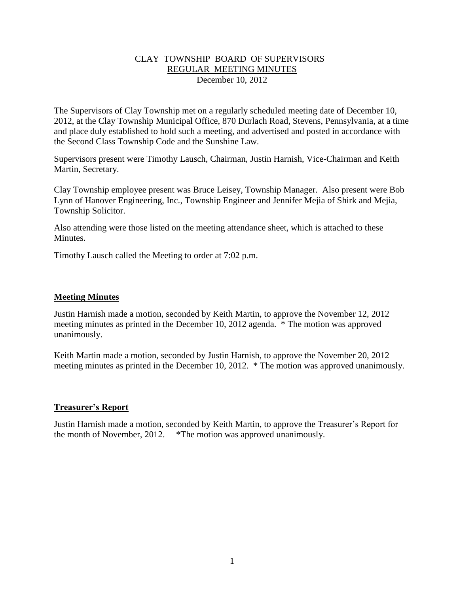## CLAY TOWNSHIP BOARD OF SUPERVISORS REGULAR MEETING MINUTES December 10, 2012

The Supervisors of Clay Township met on a regularly scheduled meeting date of December 10, 2012, at the Clay Township Municipal Office, 870 Durlach Road, Stevens, Pennsylvania, at a time and place duly established to hold such a meeting, and advertised and posted in accordance with the Second Class Township Code and the Sunshine Law.

Supervisors present were Timothy Lausch, Chairman, Justin Harnish, Vice-Chairman and Keith Martin, Secretary.

Clay Township employee present was Bruce Leisey, Township Manager. Also present were Bob Lynn of Hanover Engineering, Inc., Township Engineer and Jennifer Mejia of Shirk and Mejia, Township Solicitor.

Also attending were those listed on the meeting attendance sheet, which is attached to these **Minutes** 

Timothy Lausch called the Meeting to order at 7:02 p.m.

## **Meeting Minutes**

Justin Harnish made a motion, seconded by Keith Martin, to approve the November 12, 2012 meeting minutes as printed in the December 10, 2012 agenda. \* The motion was approved unanimously.

Keith Martin made a motion, seconded by Justin Harnish, to approve the November 20, 2012 meeting minutes as printed in the December 10, 2012. \* The motion was approved unanimously.

# **Treasurer's Report**

Justin Harnish made a motion, seconded by Keith Martin, to approve the Treasurer's Report for the month of November, 2012. \*The motion was approved unanimously.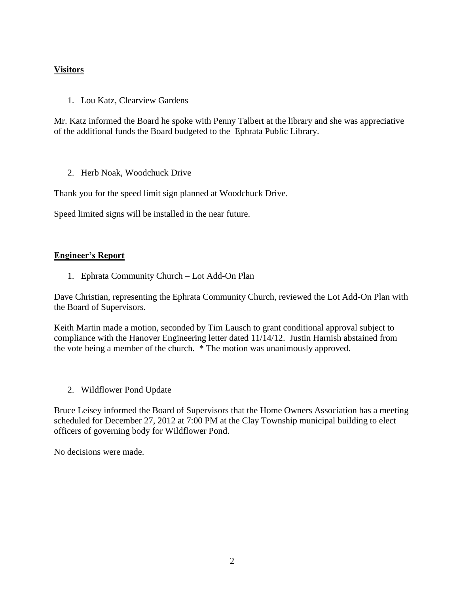# **Visitors**

1. Lou Katz, Clearview Gardens

Mr. Katz informed the Board he spoke with Penny Talbert at the library and she was appreciative of the additional funds the Board budgeted to the Ephrata Public Library.

2. Herb Noak, Woodchuck Drive

Thank you for the speed limit sign planned at Woodchuck Drive.

Speed limited signs will be installed in the near future.

# **Engineer's Report**

1. Ephrata Community Church – Lot Add-On Plan

Dave Christian, representing the Ephrata Community Church, reviewed the Lot Add-On Plan with the Board of Supervisors.

Keith Martin made a motion, seconded by Tim Lausch to grant conditional approval subject to compliance with the Hanover Engineering letter dated 11/14/12. Justin Harnish abstained from the vote being a member of the church. \* The motion was unanimously approved.

2. Wildflower Pond Update

Bruce Leisey informed the Board of Supervisors that the Home Owners Association has a meeting scheduled for December 27, 2012 at 7:00 PM at the Clay Township municipal building to elect officers of governing body for Wildflower Pond.

No decisions were made.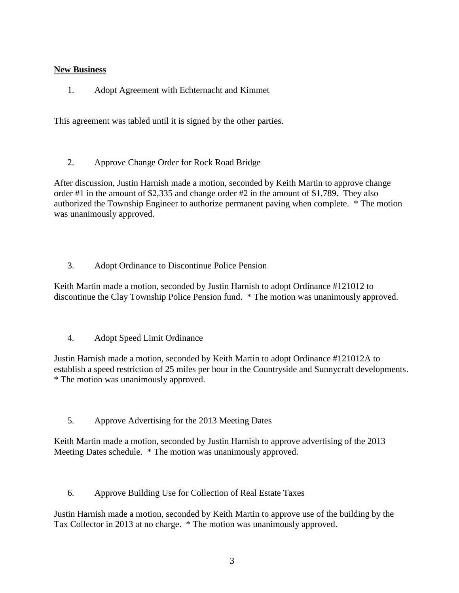## **New Business**

1. Adopt Agreement with Echternacht and Kimmet

This agreement was tabled until it is signed by the other parties.

2. Approve Change Order for Rock Road Bridge

After discussion, Justin Harnish made a motion, seconded by Keith Martin to approve change order #1 in the amount of \$2,335 and change order #2 in the amount of \$1,789. They also authorized the Township Engineer to authorize permanent paving when complete. \* The motion was unanimously approved.

3. Adopt Ordinance to Discontinue Police Pension

Keith Martin made a motion, seconded by Justin Harnish to adopt Ordinance #121012 to discontinue the Clay Township Police Pension fund. \* The motion was unanimously approved.

4. Adopt Speed Limit Ordinance

Justin Harnish made a motion, seconded by Keith Martin to adopt Ordinance #121012A to establish a speed restriction of 25 miles per hour in the Countryside and Sunnycraft developments. \* The motion was unanimously approved.

5. Approve Advertising for the 2013 Meeting Dates

Keith Martin made a motion, seconded by Justin Harnish to approve advertising of the 2013 Meeting Dates schedule. \* The motion was unanimously approved.

6. Approve Building Use for Collection of Real Estate Taxes

Justin Harnish made a motion, seconded by Keith Martin to approve use of the building by the Tax Collector in 2013 at no charge. \* The motion was unanimously approved.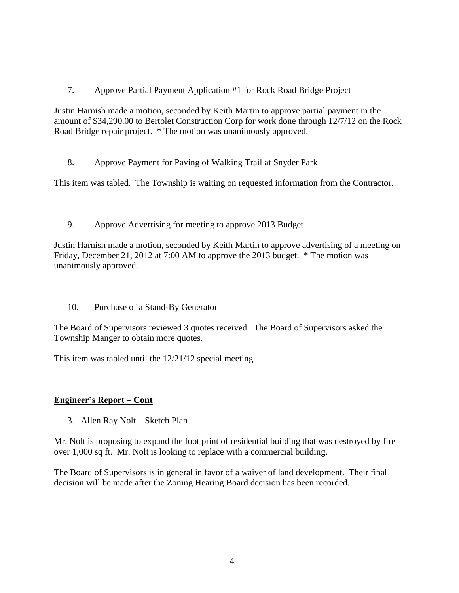7. Approve Partial Payment Application #1 for Rock Road Bridge Project

Justin Harnish made a motion, seconded by Keith Martin to approve partial payment in the amount of \$34,290.00 to Bertolet Construction Corp for work done through 12/7/12 on the Rock Road Bridge repair project. \* The motion was unanimously approved.

8. Approve Payment for Paving of Walking Trail at Snyder Park

This item was tabled. The Township is waiting on requested information from the Contractor.

9. Approve Advertising for meeting to approve 2013 Budget

Justin Harnish made a motion, seconded by Keith Martin to approve advertising of a meeting on Friday, December 21, 2012 at 7:00 AM to approve the 2013 budget. \* The motion was unanimously approved.

10. Purchase of a Stand-By Generator

The Board of Supervisors reviewed 3 quotes received. The Board of Supervisors asked the Township Manger to obtain more quotes.

This item was tabled until the 12/21/12 special meeting.

# **Engineer's Report – Cont**

3. Allen Ray Nolt – Sketch Plan

Mr. Nolt is proposing to expand the foot print of residential building that was destroyed by fire over 1,000 sq ft. Mr. Nolt is looking to replace with a commercial building.

The Board of Supervisors is in general in favor of a waiver of land development. Their final decision will be made after the Zoning Hearing Board decision has been recorded.